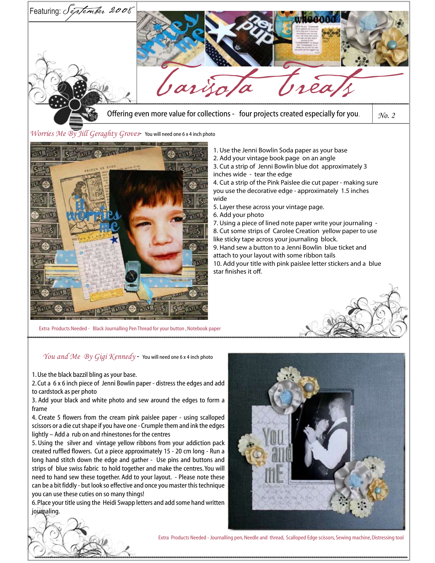

Extra Products Needed - Black Journalling Pen Thread for your button , Notebook paper

*You and Me By Gigi Kennedy* - You will need one 6 x 4 inch photo

1. Use the black bazzil bling as your base.

2. Cut a 6 x 6 inch piece of Jenni Bowlin paper - distress the edges and add to cardstock as per photo

3. Add your black and white photo and sew around the edges to form a frame

4. Create 5 flowers from the cream pink paislee paper - using scalloped scissors or a die cut shape if you have one - Crumple them and ink the edges lightly – Add a rub on and rhinestones for the centres

5. Using the silver and vintage yellow ribbons from your addiction pack created ruffled flowers. Cut a piece approximately 15 - 20 cm long - Run a long hand stitch down the edge and gather - Use pins and buttons and strips of blue swiss fabric to hold together and make the centres. You will need to hand sew these together. Add to your layout. - Please note these can be a bit fiddly - but look so effective and once you master this technique you can use these cuties on so many things!

6. Place your title using the Heidi Swapp letters and add some hand written journaling.





Extra Products Needed - Journalling pen, Needle and thread, Scalloped Edge scissors, Sewing machine, Distressing tool